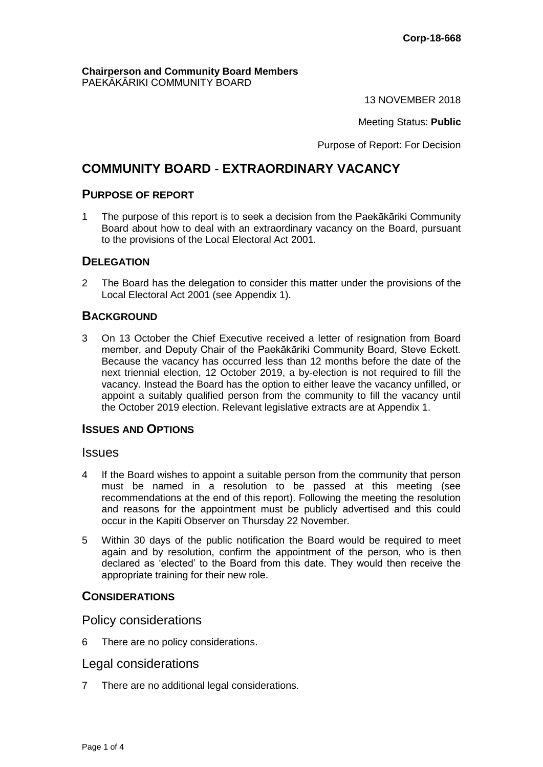#### **Chairperson and Community Board Members** PAEKĀKĀRIKI COMMUNITY BOARD

13 NOVEMBER 2018

Meeting Status: **Public**

Purpose of Report: For Decision

# **COMMUNITY BOARD - EXTRAORDINARY VACANCY**

# **PURPOSE OF REPORT**

1 The purpose of this report is to seek a decision from the Paekākāriki Community Board about how to deal with an extraordinary vacancy on the Board, pursuant to the provisions of the Local Electoral Act 2001.

## **DELEGATION**

2 The Board has the delegation to consider this matter under the provisions of the Local Electoral Act 2001 (see Appendix 1).

# **BACKGROUND**

3 On 13 October the Chief Executive received a letter of resignation from Board member, and Deputy Chair of the Paekākāriki Community Board, Steve Eckett. Because the vacancy has occurred less than 12 months before the date of the next triennial election, 12 October 2019, a by-election is not required to fill the vacancy. Instead the Board has the option to either leave the vacancy unfilled, or appoint a suitably qualified person from the community to fill the vacancy until the October 2019 election. Relevant legislative extracts are at Appendix 1.

# **ISSUES AND OPTIONS**

### **Issues**

- 4 If the Board wishes to appoint a suitable person from the community that person must be named in a resolution to be passed at this meeting (see recommendations at the end of this report). Following the meeting the resolution and reasons for the appointment must be publicly advertised and this could occur in the Kapiti Observer on Thursday 22 November.
- 5 Within 30 days of the public notification the Board would be required to meet again and by resolution, confirm the appointment of the person, who is then declared as 'elected' to the Board from this date. They would then receive the appropriate training for their new role.

### **CONSIDERATIONS**

Policy considerations

6 There are no policy considerations.

# Legal considerations

7 There are no additional legal considerations.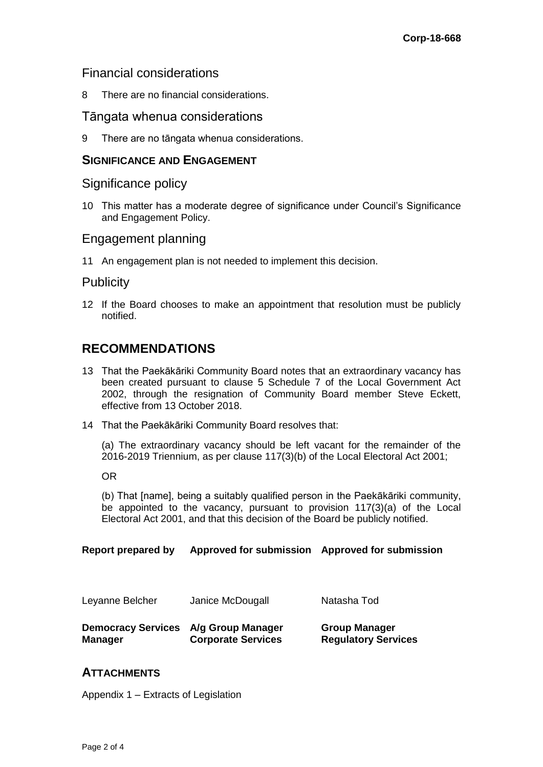# Financial considerations

8 There are no financial considerations.

# Tāngata whenua considerations

9 There are no tāngata whenua considerations.

## **SIGNIFICANCE AND ENGAGEMENT**

Significance policy

10 This matter has a moderate degree of significance under Council's Significance and Engagement Policy.

## Engagement planning

11 An engagement plan is not needed to implement this decision.

## Publicity

12 If the Board chooses to make an appointment that resolution must be publicly notified.

# **RECOMMENDATIONS**

- 13 That the Paekākāriki Community Board notes that an extraordinary vacancy has been created pursuant to clause 5 Schedule 7 of the Local Government Act 2002, through the resignation of Community Board member Steve Eckett, effective from 13 October 2018.
- 14 That the Paekākāriki Community Board resolves that:

(a) The extraordinary vacancy should be left vacant for the remainder of the 2016-2019 Triennium, as per clause 117(3)(b) of the Local Electoral Act 2001;

OR

(b) That [name], being a suitably qualified person in the Paekākāriki community, be appointed to the vacancy, pursuant to provision 117(3)(a) of the Local Electoral Act 2001, and that this decision of the Board be publicly notified.

**Report prepared by Approved for submission Approved for submission**

| Leyanne Belcher                                        | Janice McDougall          | Natasha Tod                                        |
|--------------------------------------------------------|---------------------------|----------------------------------------------------|
| Democracy Services A/g Group Manager<br><b>Manager</b> | <b>Corporate Services</b> | <b>Group Manager</b><br><b>Regulatory Services</b> |

# **ATTACHMENTS**

Appendix 1 – Extracts of Legislation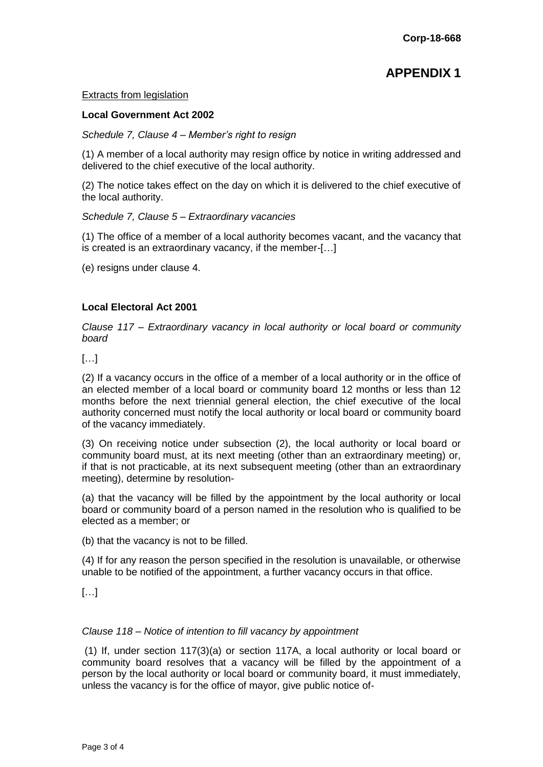# **APPENDIX 1**

#### Extracts from legislation

#### **Local Government Act 2002**

#### *Schedule 7, Clause 4 – Member's right to resign*

(1) A member of a local authority may resign office by notice in writing addressed and delivered to the chief executive of the local authority.

(2) The notice takes effect on the day on which it is delivered to the chief executive of the local authority.

#### *Schedule 7, Clause 5 – Extraordinary vacancies*

(1) The office of a member of a local authority becomes vacant, and the vacancy that is created is an extraordinary vacancy, if the member-[…]

(e) resigns under clause 4.

### **Local Electoral Act 2001**

*Clause 117 – Extraordinary vacancy in local authority or local board or community board*

 $[\ldots]$ 

(2) If a vacancy occurs in the office of a member of a local authority or in the office of an elected member of a local board or community board 12 months or less than 12 months before the next triennial general election, the chief executive of the local authority concerned must notify the local authority or local board or community board of the vacancy immediately.

(3) On receiving notice under subsection (2), the local authority or local board or community board must, at its next meeting (other than an extraordinary meeting) or, if that is not practicable, at its next subsequent meeting (other than an extraordinary meeting), determine by resolution-

(a) that the vacancy will be filled by the appointment by the local authority or local board or community board of a person named in the resolution who is qualified to be elected as a member; or

(b) that the vacancy is not to be filled.

(4) If for any reason the person specified in the resolution is unavailable, or otherwise unable to be notified of the appointment, a further vacancy occurs in that office.

[…]

### *Clause 118 – Notice of intention to fill vacancy by appointment*

(1) If, under section 117(3)(a) or section 117A, a local authority or local board or community board resolves that a vacancy will be filled by the appointment of a person by the local authority or local board or community board, it must immediately, unless the vacancy is for the office of mayor, give public notice of